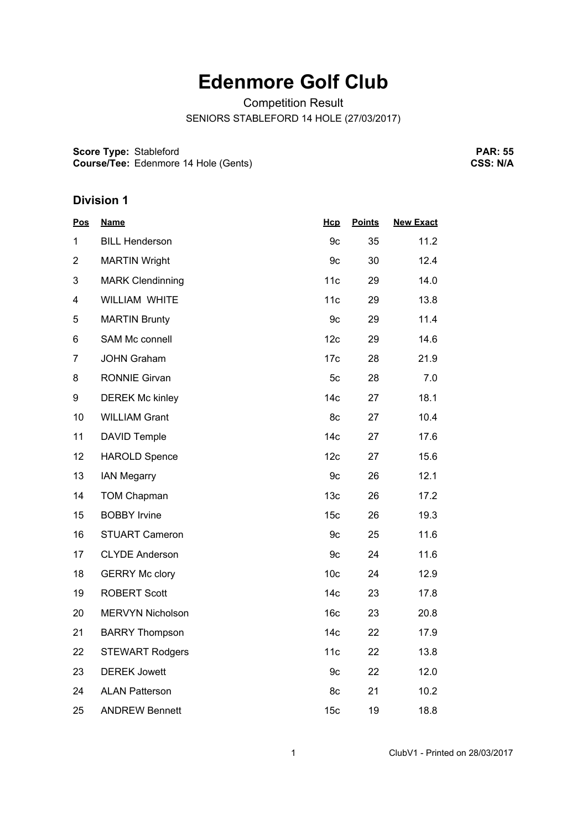## **Edenmore Golf Club**

Competition Result

SENIORS STABLEFORD 14 HOLE (27/03/2017)

**Score Type: Course/Tee:** Stableford Edenmore 14 Hole (Gents)

**PAR: 55 CSS: N/A**

## **Division 1**

| <b>Pos</b>     | <b>Name</b>             | Hcp             | <b>Points</b> | <b>New Exact</b> |
|----------------|-------------------------|-----------------|---------------|------------------|
| 1              | <b>BILL Henderson</b>   | 9c              | 35            | 11.2             |
| $\overline{2}$ | <b>MARTIN Wright</b>    | 9c              | 30            | 12.4             |
| 3              | <b>MARK Clendinning</b> | 11c             | 29            | 14.0             |
| 4              | WILLIAM WHITE           | 11c             | 29            | 13.8             |
| 5              | <b>MARTIN Brunty</b>    | 9c              | 29            | 11.4             |
| 6              | <b>SAM Mc connell</b>   | 12c             | 29            | 14.6             |
| $\overline{7}$ | <b>JOHN Graham</b>      | 17 <sub>c</sub> | 28            | 21.9             |
| 8              | <b>RONNIE Girvan</b>    | 5c              | 28            | 7.0              |
| 9              | <b>DEREK Mc kinley</b>  | 14 <sub>c</sub> | 27            | 18.1             |
| 10             | <b>WILLIAM Grant</b>    | 8c              | 27            | 10.4             |
| 11             | <b>DAVID Temple</b>     | 14 <sub>c</sub> | 27            | 17.6             |
| 12             | <b>HAROLD Spence</b>    | 12c             | 27            | 15.6             |
| 13             | <b>IAN Megarry</b>      | 9c              | 26            | 12.1             |
| 14             | <b>TOM Chapman</b>      | 13 <sub>c</sub> | 26            | 17.2             |
| 15             | <b>BOBBY Irvine</b>     | 15 <sub>c</sub> | 26            | 19.3             |
| 16             | <b>STUART Cameron</b>   | 9c              | 25            | 11.6             |
| 17             | <b>CLYDE Anderson</b>   | 9c              | 24            | 11.6             |
| 18             | <b>GERRY Mc clory</b>   | 10 <sub>c</sub> | 24            | 12.9             |
| 19             | <b>ROBERT Scott</b>     | 14 <sub>c</sub> | 23            | 17.8             |
| 20             | <b>MERVYN Nicholson</b> | 16 <sub>c</sub> | 23            | 20.8             |
| 21             | <b>BARRY Thompson</b>   | 14 <sub>c</sub> | 22            | 17.9             |
| 22             | <b>STEWART Rodgers</b>  | 11c             | 22            | 13.8             |
| 23             | <b>DEREK Jowett</b>     | 9c              | 22            | 12.0             |
| 24             | <b>ALAN Patterson</b>   | 8c              | 21            | 10.2             |
| 25             | <b>ANDREW Bennett</b>   | 15 <sub>c</sub> | 19            | 18.8             |